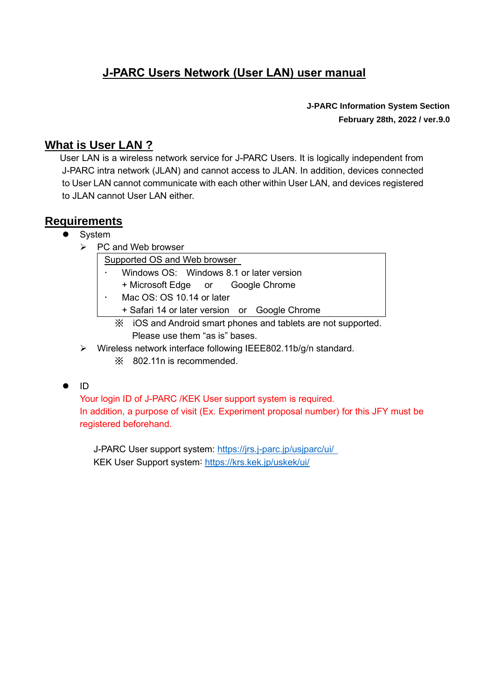# **J-PARC Users Network (User LAN) user manual**

**J-PARC Information System Section February 28th, 2022 / ver.9.0**

## **What is User LAN ?**

User LAN is a wireless network service for J-PARC Users. It is logically independent from J-PARC intra network (JLAN) and cannot access to JLAN. In addition, devices connected to User LAN cannot communicate with each other within User LAN, and devices registered to JLAN cannot User LAN either.

## **Requirements**

### **System**

➢ PC and Web browser

Supported OS and Web browser

- Windows OS: Windows 8.1 or later version
	- + Microsoft Edge or Google Chrome
- Mac OS: OS 10.14 or later
	- + Safari 14 or later version or Google Chrome
		- ※ iOS and Android smart phones and tablets are not supported. Please use them "as is" bases.
- ➢ Wireless network interface following IEEE802.11b/g/n standard. ※ 802.11n is recommended.

### $\bullet$  ID

Your login ID of J-PARC /KEK User support system is required. In addition, a purpose of visit (Ex. Experiment proposal number) for this JFY must be registered beforehand.

 J-PARC User support system:<https://jrs.j-parc.jp/usjparc/ui/> KEK User Support system: <https://krs.kek.jp/uskek/ui/>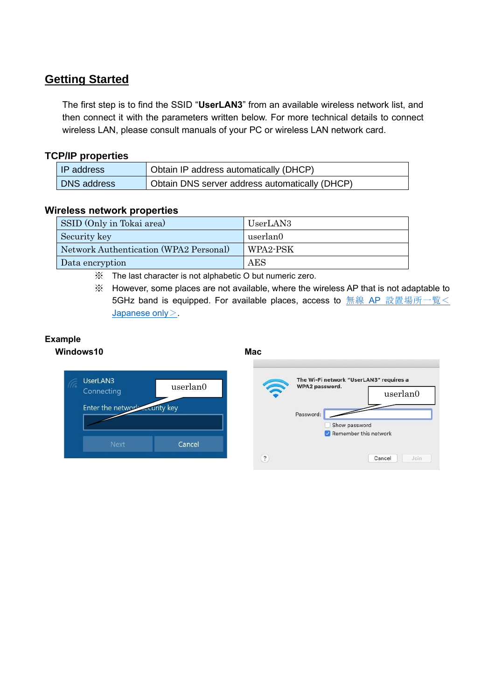# **Getting Started**

The first step is to find the SSID "**UserLAN3**" from an available wireless network list, and then connect it with the parameters written below. For more technical details to connect wireless LAN, please consult manuals of your PC or wireless LAN network card.

### **TCP/IP properties**

| IP address  | Obtain IP address automatically (DHCP)         |
|-------------|------------------------------------------------|
| DNS address | Obtain DNS server address automatically (DHCP) |

### **Wireless network properties**

| SSID (Only in Tokai area)              | UserLAN3 |
|----------------------------------------|----------|
| Security key                           | userlan0 |
| Network Authentication (WPA2 Personal) | WPA2-PSK |
| Data encryption                        | AES      |

※ The last character is not alphabetic O but numeric zero.

※ However, some places are not available, where the wireless AP that is not adaptable to 5GHz band is equipped. For available places, access to 無線 AP [設置場所一覧<](http://www-intra.j-parc.jp/JLAN/network/ipnet05.html) [Japanese only](http://www-intra.j-parc.jp/JLAN/network/ipnet05.html) >

#### **Example Windows10 Mac**



| The Wi-Fi network "UserLAN3" requires a<br>WPA2 password. |                       |  |
|-----------------------------------------------------------|-----------------------|--|
|                                                           | userlan0              |  |
| Password:                                                 |                       |  |
| Show password                                             |                       |  |
| Remember this network                                     |                       |  |
|                                                           | Cancel<br><b>Join</b> |  |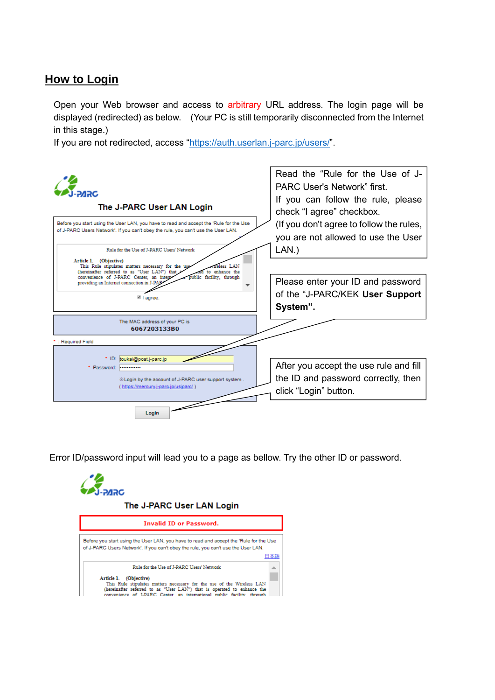## **How to Login**

Open your Web browser and access to arbitrary URL address. The login page will be displayed (redirected) as below. (Your PC is still temporarily disconnected from the Internet in this stage.)

If you are not redirected, access ["https://auth.userlan.j-parc.jp/users/"](https://auth.userlan.j-parc.jp/users/).



Error ID/password input will lead you to a page as bellow. Try the other ID or password.

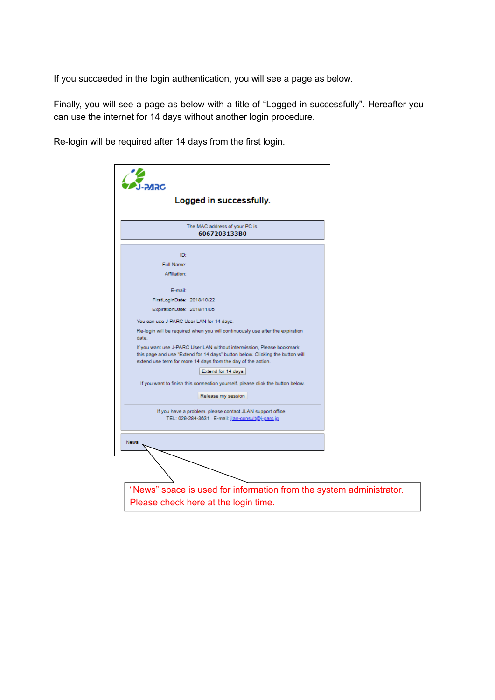If you succeeded in the login authentication, you will see a page as below.

Finally, you will see a page as below with a title of "Logged in successfully". Hereafter you can use the internet for 14 days without another login procedure.

Re-login will be required after 14 days from the first login.

|                                          | Logged in successfully.                                                                                                                                                                                                |  |
|------------------------------------------|------------------------------------------------------------------------------------------------------------------------------------------------------------------------------------------------------------------------|--|
|                                          | The MAC address of your PC is<br>6067203133B0                                                                                                                                                                          |  |
| ID:                                      |                                                                                                                                                                                                                        |  |
| Full Name:                               |                                                                                                                                                                                                                        |  |
| Affiliation:                             |                                                                                                                                                                                                                        |  |
| E-mail:                                  |                                                                                                                                                                                                                        |  |
| FirstLoginDate: 2018/10/22               |                                                                                                                                                                                                                        |  |
| ExpirationDate: 2018/11/05               |                                                                                                                                                                                                                        |  |
| You can use J-PARC User LAN for 14 days. |                                                                                                                                                                                                                        |  |
| date.                                    | Re-login will be required when you will continuously use after the expiration                                                                                                                                          |  |
|                                          | If you want use J-PARC User LAN without intermission, Please bookmark<br>this page and use "Extend for 14 days" button below. Clicking the button will<br>extend use term for more 14 days from the day of the action. |  |
|                                          | Extend for 14 days                                                                                                                                                                                                     |  |
|                                          | If you want to finish this connection yourself, please click the button below.                                                                                                                                         |  |
|                                          | Release my session                                                                                                                                                                                                     |  |
|                                          | If you have a problem, please contact JLAN support office.<br>TEL: 029-284-3631 E-mail: jlan-consult@j-parc.jp                                                                                                         |  |
| <b>News</b>                              |                                                                                                                                                                                                                        |  |
|                                          |                                                                                                                                                                                                                        |  |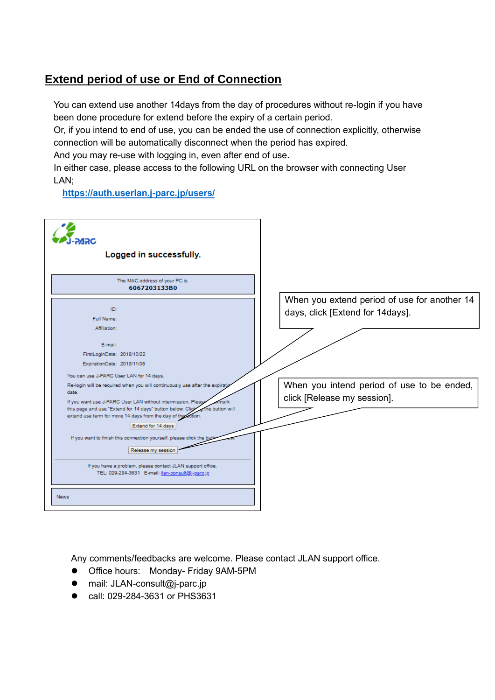# **Extend period of use or End of Connection**

You can extend use another 14days from the day of procedures without re-login if you have been done procedure for extend before the expiry of a certain period.

Or, if you intend to end of use, you can be ended the use of connection explicitly, otherwise connection will be automatically disconnect when the period has expired.

And you may re-use with logging in, even after end of use.

In either case, please access to the following URL on the browser with connecting User LAN;

**<https://auth.userlan.j-parc.jp/users/>**

| Logged in successfully.                                                                                                                                                                                                                                                                                                                                                                                                                                                                                                                                                                           |                                                                                  |
|---------------------------------------------------------------------------------------------------------------------------------------------------------------------------------------------------------------------------------------------------------------------------------------------------------------------------------------------------------------------------------------------------------------------------------------------------------------------------------------------------------------------------------------------------------------------------------------------------|----------------------------------------------------------------------------------|
| The MAC address of your PC is<br>6067203133B0                                                                                                                                                                                                                                                                                                                                                                                                                                                                                                                                                     |                                                                                  |
| ID:<br>Full Name:<br>Affiliation:<br>E-mail:<br>FirstLoginDate: 2018/10/22<br>ExpirationDate: 2018/11/05                                                                                                                                                                                                                                                                                                                                                                                                                                                                                          | When you extend period of use for another 14<br>days, click [Extend for 14days]. |
| You can use J-PARC User LAN for 14 days.<br>Re-login will be required when you will continuously use after the expiration<br>date.<br>If you want use J-PARC User LAN without intermission, Please<br>mark<br>the button will<br>this page and use "Extend for 14 days" button below. Click<br>extend use term for more 14 days from the day of the action.<br>Extend for 14 days<br>If you want to finish this connection yourself, please click the but<br>Release my session<br>If you have a problem, please contact JLAN support office.<br>TEL: 029-284-3631 E-mail: jlan-consult@j-parc.jp | When you intend period of use to be ended,<br>click [Release my session].        |
| <b>News</b>                                                                                                                                                                                                                                                                                                                                                                                                                                                                                                                                                                                       |                                                                                  |

Any comments/feedbacks are welcome. Please contact JLAN support office.

- Office hours: Monday- Friday 9AM-5PM
- mail: JLAN-consult@j-parc.jp
- call: 029-284-3631 or PHS3631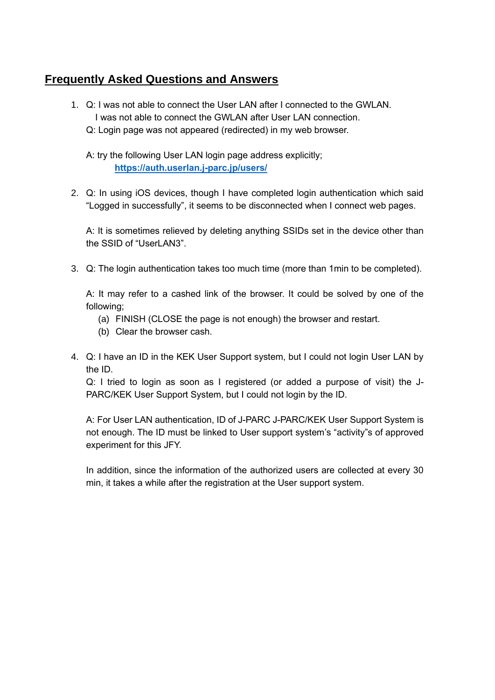## **Frequently Asked Questions and Answers**

- 1. Q: I was not able to connect the User LAN after I connected to the GWLAN. I was not able to connect the GWLAN after User LAN connection.
	- Q: Login page was not appeared (redirected) in my web browser.

A: try the following User LAN login page address explicitly; **<https://auth.userlan.j-parc.jp/users/>**

2. Q: In using iOS devices, though I have completed login authentication which said "Logged in successfully", it seems to be disconnected when I connect web pages.

A: It is sometimes relieved by deleting anything SSIDs set in the device other than the SSID of "UserLAN3".

3. Q: The login authentication takes too much time (more than 1min to be completed).

A: It may refer to a cashed link of the browser. It could be solved by one of the following;

- (a) FINISH (CLOSE the page is not enough) the browser and restart.
- (b) Clear the browser cash.
- 4. Q: I have an ID in the KEK User Support system, but I could not login User LAN by the ID.

Q: I tried to login as soon as I registered (or added a purpose of visit) the J-PARC/KEK User Support System, but I could not login by the ID.

A: For User LAN authentication, ID of J-PARC J-PARC/KEK User Support System is not enough. The ID must be linked to User support system's "activity"s of approved experiment for this JFY.

In addition, since the information of the authorized users are collected at every 30 min, it takes a while after the registration at the User support system.